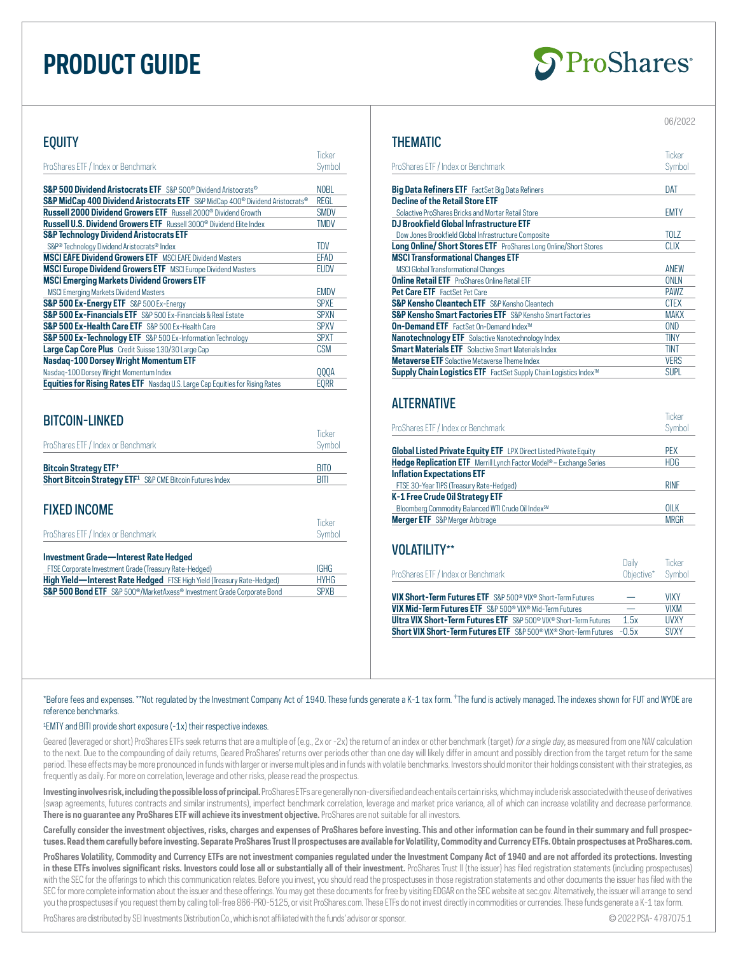# **PRODUCT GUIDE**



### **EQUITY**

|                                                                                                       | Ticker      |
|-------------------------------------------------------------------------------------------------------|-------------|
| ProShares ETF / Index or Benchmark                                                                    | Symbol      |
|                                                                                                       |             |
| <b>S&amp;P 500 Dividend Aristocrats ETF</b> S&P 500® Dividend Aristocrats®                            | <b>NOBL</b> |
| S&P MidCap 400 Dividend Aristocrats ETF S&P MidCap 400 <sup>®</sup> Dividend Aristocrats <sup>®</sup> | REGL        |
| <b>Russell 2000 Dividend Growers ETF</b> Russell 2000 <sup>®</sup> Dividend Growth                    | <b>SMDV</b> |
| <b>Russell U.S. Dividend Growers ETF</b> Russell 3000 <sup>®</sup> Dividend Flite Index               | <b>TMDV</b> |
| <b>S&amp;P Technology Dividend Aristocrats ETF</b>                                                    |             |
| S&P® Technology Dividend Aristocrats® Index                                                           | <b>TDV</b>  |
| <b>MSCI EAFE Dividend Growers ETF</b> MSCI FAFE Dividend Masters                                      | <b>EFAD</b> |
| <b>MSCI Europe Dividend Growers ETF</b> MSCI Europe Dividend Masters                                  | <b>EUDV</b> |
| <b>MSCI Emerging Markets Dividend Growers ETF</b>                                                     |             |
| <b>MSCI Emerging Markets Dividend Masters</b>                                                         | <b>EMDV</b> |
| S&P 500 Ex-Energy ETF S&P 500 Ex-Energy                                                               | <b>SPXE</b> |
| <b>S&amp;P 500 Ex-Financials ETF</b> S&P 500 Ex-Financials & Real Estate                              | <b>SPXN</b> |
| S&P 500 Ex-Health Care ETF S&P 500 Ex-Health Care                                                     | <b>SPXV</b> |
| S&P 500 Ex-Technology ETF S&P 500 Ex-Information Technology                                           | <b>SPXT</b> |
| Large Cap Core Plus Credit Suisse 130/30 Large Cap                                                    | <b>CSM</b>  |
| Nasdag-100 Dorsey Wright Momentum ETF                                                                 |             |
| Nasdag-100 Dorsey Wright Momentum Index                                                               | 000A        |
| <b>Equities for Rising Rates ETF</b> Nasdaq U.S. Large Cap Equities for Rising Rates                  | EORR        |

# BITCOIN-LINKED

| ProShares ETF / Index or Benchmark                                              | Ticker<br>Symbol |
|---------------------------------------------------------------------------------|------------------|
| <b>Bitcoin Strategy ETF<sup>+</sup></b>                                         | <b>BITO</b>      |
| <b>Short Bitcoin Strategy ETF<sup>1</sup> S&amp;P CME Bitcoin Futures Index</b> | <b>BITI</b>      |

#### FIXED INCOME

| ProShares ETF / Index or Benchmark                                                              | Ticker<br>Symbol |
|-------------------------------------------------------------------------------------------------|------------------|
| Investment Grade-Interest Rate Hedged<br>FTSE Corporate Investment Grade (Treasury Rate-Hedged) | <b>IGHG</b>      |

**High Yield—Interest Rate Hedged** FTSE High Yield (Treasury Rate-Hedged) HYHG **S&P 500 Bond ETF** S&P 500<sup>®</sup>/MarketAxess® Investment Grade Corporate Bond SPXB

### THEMATIC

|                                                                         | Ticker          |
|-------------------------------------------------------------------------|-----------------|
| ProShares ETF / Index or Benchmark                                      | Symbol          |
|                                                                         |                 |
| <b>Big Data Refiners ETF</b> FactSet Big Data Refiners                  | DAT             |
| <b>Decline of the Retail Store ETF</b>                                  |                 |
| Solactive ProShares Bricks and Mortar Retail Store                      | <b>EMTY</b>     |
| DJ Brookfield Global Infrastructure ETF                                 |                 |
| Dow Jones Brookfield Global Infrastructure Composite                    | <b>TOLZ</b>     |
| <b>Long Online/ Short Stores ETF</b> ProShares Long Online/Short Stores | <b>CLIX</b>     |
| <b>MSCI Transformational Changes ETF</b>                                |                 |
| <b>MSCI Global Transformational Changes</b>                             | <b>ANEW</b>     |
| <b>Online Retail ETF</b> ProShares Online Retail ETF                    | <b>ONLN</b>     |
| Pet Care ETF FactSet Pet Care                                           | <b>PAWZ</b>     |
| <b>S&amp;P Kensho Cleantech ETF</b> S&P Kensho Cleantech                | <b>CTEX</b>     |
| <b>S&amp;P Kensho Smart Factories ETF</b> S&P Kensho Smart Factories    | <b>MAKX</b>     |
| <b>On-Demand ETF</b> FactSet 0n-Demand Index™                           | 0 <sub>ND</sub> |
| <b>Nanotechnology ETF</b> Solactive Nanotechnology Index                | tiny            |
| <b>Smart Materials ETF</b> Solactive Smart Materials Index              | <b>TINT</b>     |
| <b>Metaverse ETF</b> Solactive Metaverse Theme Index                    | <b>VERS</b>     |
| Supply Chain Logistics ETF FactSet Supply Chain Logistics Index™        | SUPL            |

## **ALTERNATIVE**

| ProShares ETF / Index or Benchmark                                              | Symbol      |
|---------------------------------------------------------------------------------|-------------|
| <b>Global Listed Private Equity ETF</b> LPX Direct Listed Private Equity        | <b>PFX</b>  |
| Hedge Replication ETF Merrill Lynch Factor Model <sup>®</sup> - Exchange Series | <b>HDG</b>  |
| <b>Inflation Expectations ETF</b>                                               |             |
| FTSE 30-Year TIPS (Treasury Rate-Hedged)                                        | <b>RINF</b> |
| K-1 Free Crude Oil Strategy ETF                                                 |             |
| Bloomberg Commodity Balanced WTI Crude Oil Index <sup>SM</sup>                  | OILK        |
| <b>Merger ETF</b> S&P Merger Arbitrage                                          | <b>MRGR</b> |

### VOLATILITY\*\*

| ProShares ETF / Index or Benchmark                                                               | Daily<br>Objective* Symbol | Ticker       |
|--------------------------------------------------------------------------------------------------|----------------------------|--------------|
| <b>VIX Short-Term Futures ETF</b> S&P 500 <sup>®</sup> VIX <sup>®</sup> Short-Term Futures       |                            | <b>VIXY</b>  |
| <b>VIX Mid-Term Futures ETF</b> S&P 500 <sup>®</sup> VIX <sup>®</sup> Mid-Term Futures           |                            | <b>VIXM</b>  |
| <b>Ultra VIX Short-Term Futures ETF</b> S&P 500 <sup>®</sup> VIX <sup>®</sup> Short-Term Futures | 1.5x                       | <b>IIVXY</b> |
| <b>Short VIX Short-Term Futures ETF</b> S&P 500 <sup>®</sup> VIX® Short-Term Futures -0.5x       |                            | <b>SVXY</b>  |
|                                                                                                  |                            |              |

\*Before fees and expenses. \*\*Not regulated by the Investment Company Act of 1940. These funds generate a K-1 tax form. \*The fund is actively managed. The indexes shown for FUT and WYDE are reference benchmarks.

#### 1 EMTY and BITI provide short exposure (-1x) their respective indexes.

Geared (leveraged or short) ProShares ETFs seek returns that are a multiple of (e.g., 2x or -2x) the return of an index or other benchmark (target) for a single day, as measured from one NAV calculation to the next. Due to the compounding of daily returns, Geared ProShares' returns over periods other than one day will likely differ in amount and possibly direction from the target return for the same period. These effects may be more pronounced in funds with larger or inverse multiples and in funds with volatile benchmarks. Investors should monitor their holdings consistent with their strategies, as frequently as daily. For more on correlation, leverage and other risks, please read the prospectus.

Investing involves risk, including the possible loss of principal. ProShares ETFs are generally non-diversified and each entails certain risks, which may include risk associated with the use of derivatives (swap agreements, futures contracts and similar instruments), imperfect benchmark correlation, leverage and market price variance, all of which can increase volatility and decrease performance. **There is no guarantee any ProShares ETF will achieve its investment objective.** ProShares are not suitable for all investors.

**Carefully consider the investment objectives, risks, charges and expenses of ProShares before investing. This and other information can be found in their summary and full prospectuses. Read them carefully before investing. Separate ProShares Trust II prospectuses are available for Volatility, Commodity and Currency ETFs. Obtain prospectuses at ProShares.com.**

**ProShares Volatility, Commodity and Currency ETFs are not investment companies regulated under the Investment Company Act of 1940 and are not afforded its protections. Investing**  in these ETFs involves significant risks. Investors could lose all or substantially all of their investment. ProShares Trust II (the issuer) has filed registration statements (including prospectuses) with the SEC for the offerings to which this communication relates. Before you invest, you should read the prospectuses in those registration statements and other documents the issuer has filed with the SEC for more complete information about the issuer and these offerings. You may get these documents for free by visiting EDGAR on the SEC website at sec.gov. Alternatively, the issuer will arrange to send you the prospectuses if you request them by calling toll-free 866-PRO-5125, or visit ProShares.com. These ETFs do not invest directly in commodities or currencies. These funds generate a K-1 tax form.

ProShares are distributed by SEI Investments Distribution Co., which is not affiliated with the funds' advisor or sponsor. © 2022 PSA- 4787075.1

Ticker

06/2022